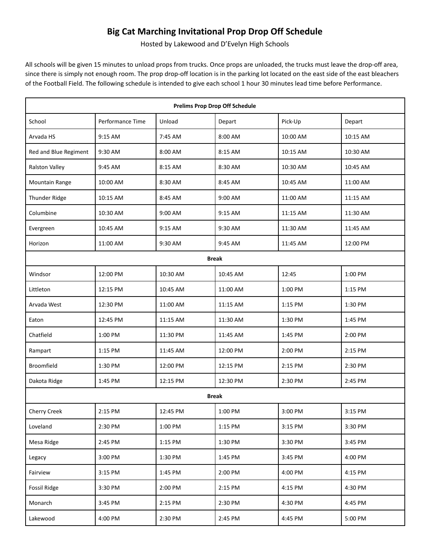## **Big Cat Marching Invitational Prop Drop Off Schedule**

Hosted by Lakewood and D'Evelyn High Schools

All schools will be given 15 minutes to unload props from trucks. Once props are unloaded, the trucks must leave the drop-off area, since there is simply not enough room. The prop drop-off location is in the parking lot located on the east side of the east bleachers of the Football Field. The following schedule is intended to give each school 1 hour 30 minutes lead time before Performance.

| <b>Prelims Prop Drop Off Schedule</b> |                  |          |          |          |          |  |  |  |
|---------------------------------------|------------------|----------|----------|----------|----------|--|--|--|
| School                                | Performance Time | Unload   | Depart   | Pick-Up  | Depart   |  |  |  |
| Arvada HS                             | 9:15 AM          | 7:45 AM  | 8:00 AM  | 10:00 AM | 10:15 AM |  |  |  |
| Red and Blue Regiment                 | 9:30 AM          | 8:00 AM  | 8:15 AM  | 10:15 AM | 10:30 AM |  |  |  |
| <b>Ralston Valley</b>                 | 9:45 AM          | 8:15 AM  | 8:30 AM  | 10:30 AM | 10:45 AM |  |  |  |
| <b>Mountain Range</b>                 | 10:00 AM         | 8:30 AM  | 8:45 AM  | 10:45 AM | 11:00 AM |  |  |  |
| Thunder Ridge                         | 10:15 AM         | 8:45 AM  | 9:00 AM  | 11:00 AM | 11:15 AM |  |  |  |
| Columbine                             | 10:30 AM         | 9:00 AM  | 9:15 AM  | 11:15 AM | 11:30 AM |  |  |  |
| Evergreen                             | 10:45 AM         | 9:15 AM  | 9:30 AM  | 11:30 AM | 11:45 AM |  |  |  |
| Horizon                               | 11:00 AM         | 9:30 AM  | 9:45 AM  | 11:45 AM | 12:00 PM |  |  |  |
| <b>Break</b>                          |                  |          |          |          |          |  |  |  |
| Windsor                               | 12:00 PM         | 10:30 AM | 10:45 AM | 12:45    | 1:00 PM  |  |  |  |
| Littleton                             | 12:15 PM         | 10:45 AM | 11:00 AM | 1:00 PM  | 1:15 PM  |  |  |  |
| Arvada West                           | 12:30 PM         | 11:00 AM | 11:15 AM | 1:15 PM  | 1:30 PM  |  |  |  |
| Eaton                                 | 12:45 PM         | 11:15 AM | 11:30 AM | 1:30 PM  | 1:45 PM  |  |  |  |
| Chatfield                             | 1:00 PM          | 11:30 PM | 11:45 AM | 1:45 PM  | 2:00 PM  |  |  |  |
| Rampart                               | 1:15 PM          | 11:45 AM | 12:00 PM | 2:00 PM  | 2:15 PM  |  |  |  |
| Broomfield                            | 1:30 PM          | 12:00 PM | 12:15 PM | 2:15 PM  | 2:30 PM  |  |  |  |
| Dakota Ridge                          | 1:45 PM          | 12:15 PM | 12:30 PM | 2:30 PM  | 2:45 PM  |  |  |  |
| <b>Break</b>                          |                  |          |          |          |          |  |  |  |
| Cherry Creek                          | 2:15 PM          | 12:45 PM | 1:00 PM  | 3:00 PM  | 3:15 PM  |  |  |  |
| Loveland                              | 2:30 PM          | 1:00 PM  | 1:15 PM  | 3:15 PM  | 3:30 PM  |  |  |  |
| Mesa Ridge                            | 2:45 PM          | 1:15 PM  | 1:30 PM  | 3:30 PM  | 3:45 PM  |  |  |  |
| Legacy                                | 3:00 PM          | 1:30 PM  | 1:45 PM  | 3:45 PM  | 4:00 PM  |  |  |  |
| Fairview                              | 3:15 PM          | 1:45 PM  | 2:00 PM  | 4:00 PM  | 4:15 PM  |  |  |  |
| Fossil Ridge                          | 3:30 PM          | 2:00 PM  | 2:15 PM  | 4:15 PM  | 4:30 PM  |  |  |  |
| Monarch                               | 3:45 PM          | 2:15 PM  | 2:30 PM  | 4:30 PM  | 4:45 PM  |  |  |  |
| Lakewood                              | 4:00 PM          | 2:30 PM  | 2:45 PM  | 4:45 PM  | 5:00 PM  |  |  |  |